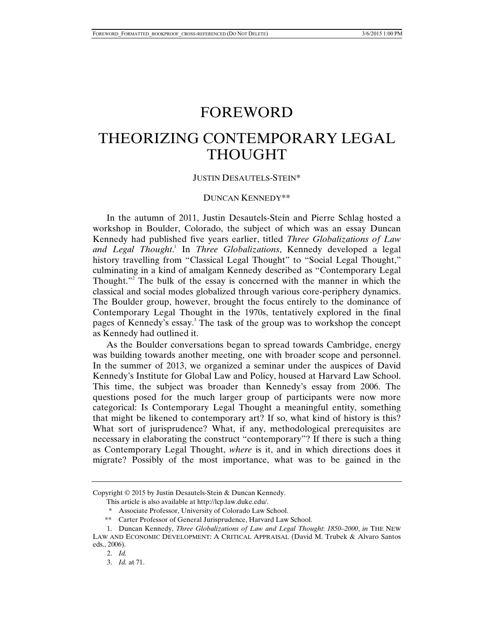## FOREWORD

# THEORIZING CONTEMPORARY LEGAL THOUGHT

### JUSTIN DESAUTELS-STEIN\*

## DUNCAN KENNEDY\*\*

In the autumn of 2011, Justin Desautels-Stein and Pierre Schlag hosted a workshop in Boulder, Colorado, the subject of which was an essay Duncan Kennedy had published five years earlier, titled *Three Globalizations of Law and Legal Thought*. 1 In *Three Globalizations*, Kennedy developed a legal history travelling from "Classical Legal Thought" to "Social Legal Thought," culminating in a kind of amalgam Kennedy described as "Contemporary Legal Thought."<sup>2</sup> The bulk of the essay is concerned with the manner in which the classical and social modes globalized through various core-periphery dynamics. The Boulder group, however, brought the focus entirely to the dominance of Contemporary Legal Thought in the 1970s, tentatively explored in the final pages of Kennedy's essay.<sup>3</sup> The task of the group was to workshop the concept as Kennedy had outlined it.

As the Boulder conversations began to spread towards Cambridge, energy was building towards another meeting, one with broader scope and personnel. In the summer of 2013, we organized a seminar under the auspices of David Kennedy's Institute for Global Law and Policy, housed at Harvard Law School. This time, the subject was broader than Kennedy's essay from 2006. The questions posed for the much larger group of participants were now more categorical: Is Contemporary Legal Thought a meaningful entity, something that might be likened to contemporary art? If so, what kind of history is this? What sort of jurisprudence? What, if any, methodological prerequisites are necessary in elaborating the construct "contemporary"? If there is such a thing as Contemporary Legal Thought, *where* is it, and in which directions does it migrate? Possibly of the most importance, what was to be gained in the

Copyright © 2015 by Justin Desautels-Stein & Duncan Kennedy.

This article is also available at http://lcp.law.duke.edu/.

 <sup>\*</sup> Associate Professor, University of Colorado Law School.

 <sup>\*\*</sup> Carter Professor of General Jurisprudence, Harvard Law School.

 <sup>1.</sup> Duncan Kennedy, *Three Globalizations of Law and Legal Thought*: *1850–2000*, *in* THE NEW LAW AND ECONOMIC DEVELOPMENT: A CRITICAL APPRAISAL (David M. Trubek & Alvaro Santos eds., 2006).

 <sup>2.</sup> *Id.* 

 <sup>3.</sup> *Id.* at 71.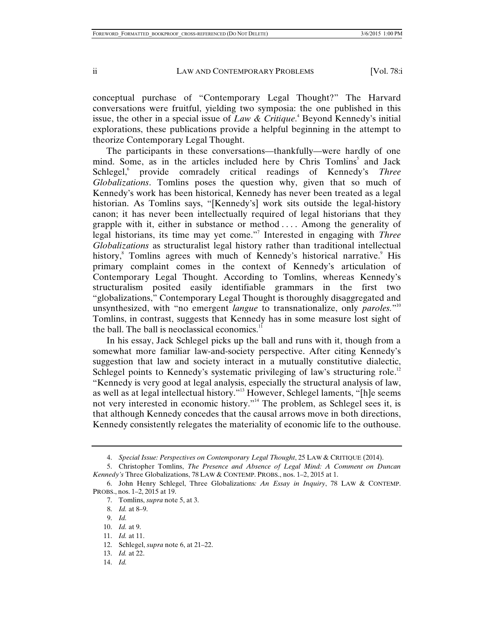conceptual purchase of "Contemporary Legal Thought?" The Harvard conversations were fruitful, yielding two symposia: the one published in this issue, the other in a special issue of *Law & Critique*.<sup>4</sup> Beyond Kennedy's initial explorations, these publications provide a helpful beginning in the attempt to theorize Contemporary Legal Thought.

The participants in these conversations—thankfully—were hardly of one mind. Some, as in the articles included here by Chris Tomlins<sup>5</sup> and Jack Schlegel,<sup>6</sup> provide comradely critical readings of Kennedy's Three *Globalizations*. Tomlins poses the question why, given that so much of Kennedy's work has been historical, Kennedy has never been treated as a legal historian. As Tomlins says, "[Kennedy's] work sits outside the legal-history canon; it has never been intellectually required of legal historians that they grapple with it, either in substance or method  $\dots$ . Among the generality of legal historians, its time may yet come."<sup>7</sup> Interested in engaging with *Three Globalizations* as structuralist legal history rather than traditional intellectual history,<sup>8</sup> Tomlins agrees with much of Kennedy's historical narrative.<sup>9</sup> His primary complaint comes in the context of Kennedy's articulation of Contemporary Legal Thought. According to Tomlins, whereas Kennedy's structuralism posited easily identifiable grammars in the first two "globalizations," Contemporary Legal Thought is thoroughly disaggregated and unsynthesized, with "no emergent *langue* to transnationalize, only *paroles.*" 10 Tomlins, in contrast, suggests that Kennedy has in some measure lost sight of the ball. The ball is neoclassical economics. $11$ 

In his essay, Jack Schlegel picks up the ball and runs with it, though from a somewhat more familiar law-and-society perspective. After citing Kennedy's suggestion that law and society interact in a mutually constitutive dialectic, Schlegel points to Kennedy's systematic privileging of law's structuring role.<sup>12</sup> "Kennedy is very good at legal analysis, especially the structural analysis of law, as well as at legal intellectual history."13 However, Schlegel laments, "[h]e seems not very interested in economic history."14 The problem, as Schlegel sees it, is that although Kennedy concedes that the causal arrows move in both directions, Kennedy consistently relegates the materiality of economic life to the outhouse.

- 12. Schlegel, *supra* note 6, at 21–22.
- 13. *Id.* at 22.
- 14. *Id.*

 <sup>4.</sup> *Special Issue: Perspectives on Contemporary Legal Thought*, 25 LAW & CRITIQUE (2014).

 <sup>5.</sup> Christopher Tomlins, *The Presence and Absence of Legal Mind: A Comment on Duncan Kennedy's* Three Globalizations, 78 LAW & CONTEMP. PROBS., nos. 1–2, 2015 at 1.

 <sup>6.</sup> John Henry Schlegel, Three Globalizations*: An Essay in Inquiry*, 78 LAW & CONTEMP. PROBS., nos. 1–2, 2015 at 19.

 <sup>7.</sup> Tomlins, *supra* note 5, at 3.

 <sup>8.</sup> *Id.* at 8–9.

 <sup>9.</sup> *Id.* 

 <sup>10.</sup> *Id.* at 9.

 <sup>11.</sup> *Id.* at 11.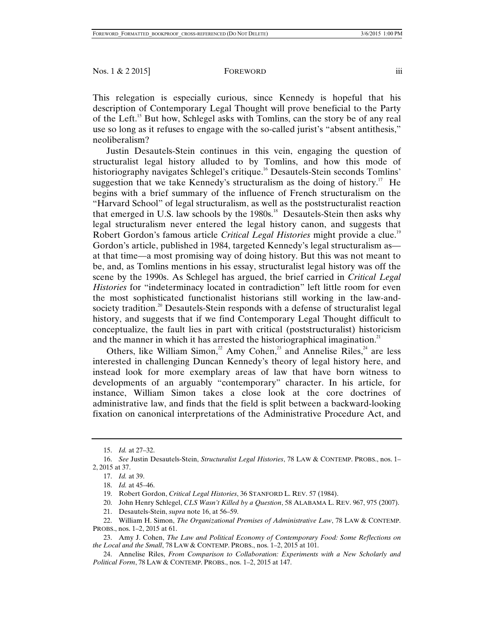This relegation is especially curious, since Kennedy is hopeful that his description of Contemporary Legal Thought will prove beneficial to the Party of the Left.<sup>15</sup> But how, Schlegel asks with Tomlins, can the story be of any real use so long as it refuses to engage with the so-called jurist's "absent antithesis," neoliberalism?

Justin Desautels-Stein continues in this vein, engaging the question of structuralist legal history alluded to by Tomlins, and how this mode of historiography navigates Schlegel's critique.<sup>16</sup> Desautels-Stein seconds Tomlins' suggestion that we take Kennedy's structuralism as the doing of history.<sup>17</sup> He begins with a brief summary of the influence of French structuralism on the "Harvard School" of legal structuralism, as well as the poststructuralist reaction that emerged in U.S. law schools by the  $1980s$ .<sup>18</sup> Desautels-Stein then asks why legal structuralism never entered the legal history canon, and suggests that Robert Gordon's famous article Critical Legal Histories might provide a clue.<sup>19</sup> Gordon's article, published in 1984, targeted Kennedy's legal structuralism as at that time—a most promising way of doing history. But this was not meant to be, and, as Tomlins mentions in his essay, structuralist legal history was off the scene by the 1990s. As Schlegel has argued, the brief carried in *Critical Legal Histories* for "indeterminacy located in contradiction" left little room for even the most sophisticated functionalist historians still working in the law-andsociety tradition.<sup>20</sup> Desautels-Stein responds with a defense of structuralist legal history, and suggests that if we find Contemporary Legal Thought difficult to conceptualize, the fault lies in part with critical (poststructuralist) historicism and the manner in which it has arrested the historiographical imagination.<sup>21</sup>

Others, like William Simon,<sup>22</sup> Amy Cohen,<sup>23</sup> and Annelise Riles,<sup>24</sup> are less interested in challenging Duncan Kennedy's theory of legal history here, and instead look for more exemplary areas of law that have born witness to developments of an arguably "contemporary" character. In his article, for instance, William Simon takes a close look at the core doctrines of administrative law, and finds that the field is split between a backward-looking fixation on canonical interpretations of the Administrative Procedure Act, and

 <sup>15.</sup> *Id.* at 27–32.

 <sup>16.</sup> *See* Justin Desautels-Stein, *Structuralist Legal Histories*, 78 LAW & CONTEMP. PROBS., nos. 1– 2, 2015 at 37.

 <sup>17.</sup> *Id.* at 39.

 <sup>18.</sup> *Id.* at 45–46.

 <sup>19.</sup> Robert Gordon, *Critical Legal Histories*, 36 STANFORD L. REV. 57 (1984).

 <sup>20.</sup> John Henry Schlegel, *CLS Wasn't Killed by a Question*, 58 ALABAMA L. REV. 967, 975 (2007).

 <sup>21.</sup> Desautels-Stein, *supra* note 16, at 56–59.

 <sup>22.</sup> William H. Simon, *The Organizational Premises of Administrative Law*, 78 LAW & CONTEMP. PROBS., nos. 1–2, 2015 at 61.

 <sup>23.</sup> Amy J. Cohen, *The Law and Political Economy of Contemporary Food: Some Reflections on the Local and the Small*, 78 LAW & CONTEMP. PROBS., nos. 1–2, 2015 at 101.

 <sup>24.</sup> Annelise Riles, *From Comparison to Collaboration: Experiments with a New Scholarly and Political Form*, 78 LAW & CONTEMP. PROBS., nos. 1–2, 2015 at 147.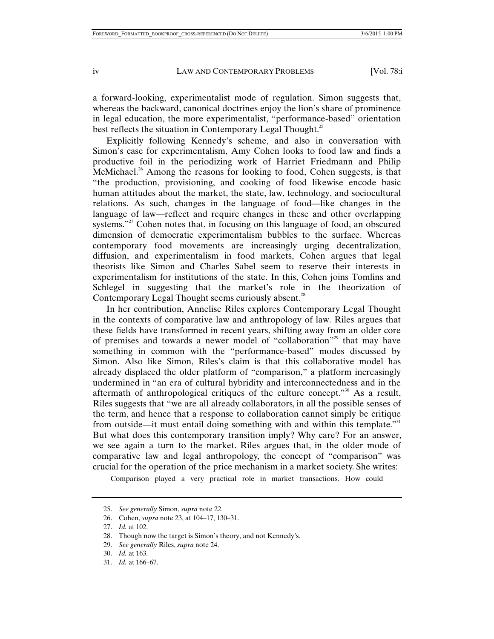a forward-looking, experimentalist mode of regulation. Simon suggests that, whereas the backward, canonical doctrines enjoy the lion's share of prominence in legal education, the more experimentalist, "performance-based" orientation best reflects the situation in Contemporary Legal Thought.<sup>25</sup>

Explicitly following Kennedy's scheme, and also in conversation with Simon's case for experimentalism, Amy Cohen looks to food law and finds a productive foil in the periodizing work of Harriet Friedmann and Philip McMichael.<sup>26</sup> Among the reasons for looking to food, Cohen suggests, is that "the production, provisioning, and cooking of food likewise encode basic human attitudes about the market, the state, law, technology, and sociocultural relations. As such, changes in the language of food—like changes in the language of law—reflect and require changes in these and other overlapping systems."<sup>27</sup> Cohen notes that, in focusing on this language of food, an obscured dimension of democratic experimentalism bubbles to the surface. Whereas contemporary food movements are increasingly urging decentralization, diffusion, and experimentalism in food markets, Cohen argues that legal theorists like Simon and Charles Sabel seem to reserve their interests in experimentalism for institutions of the state. In this, Cohen joins Tomlins and Schlegel in suggesting that the market's role in the theorization of Contemporary Legal Thought seems curiously absent.<sup>28</sup>

In her contribution, Annelise Riles explores Contemporary Legal Thought in the contexts of comparative law and anthropology of law. Riles argues that these fields have transformed in recent years, shifting away from an older core of premises and towards a newer model of "collaboration"<sup>29</sup> that may have something in common with the "performance-based" modes discussed by Simon. Also like Simon, Riles's claim is that this collaborative model has already displaced the older platform of "comparison," a platform increasingly undermined in "an era of cultural hybridity and interconnectedness and in the aftermath of anthropological critiques of the culture concept."30 As a result, Riles suggests that "we are all already collaborators, in all the possible senses of the term, and hence that a response to collaboration cannot simply be critique from outside—it must entail doing something with and within this template."<sup>31</sup> But what does this contemporary transition imply? Why care? For an answer, we see again a turn to the market. Riles argues that, in the older mode of comparative law and legal anthropology, the concept of "comparison" was crucial for the operation of the price mechanism in a market society. She writes:

Comparison played a very practical role in market transactions. How could

 <sup>25.</sup> *See generally* Simon, *supra* note 22.

 <sup>26.</sup> Cohen, *supra* note 23, at 104–17, 130–31.

 <sup>27.</sup> *Id.* at 102.

 <sup>28.</sup> Though now the target is Simon's theory, and not Kennedy's.

 <sup>29.</sup> *See generally* Riles, *supra* note 24.

 <sup>30.</sup> *Id.* at 163.

 <sup>31.</sup> *Id.* at 166–67.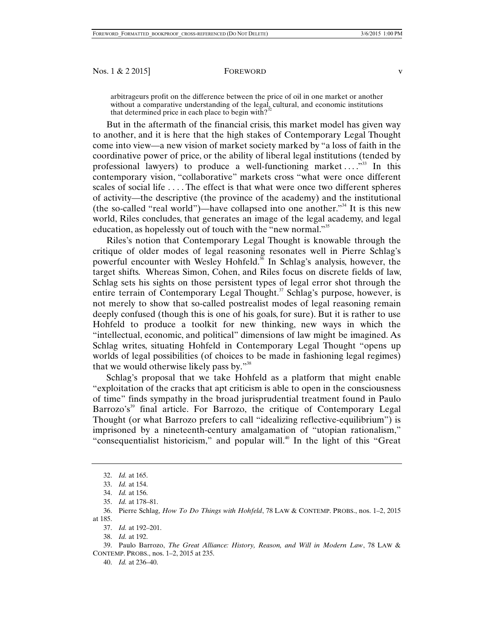arbitrageurs profit on the difference between the price of oil in one market or another without a comparative understanding of the legal, cultural, and economic institutions that determined price in each place to begin with?<sup>3</sup>

But in the aftermath of the financial crisis, this market model has given way to another, and it is here that the high stakes of Contemporary Legal Thought come into view—a new vision of market society marked by "a loss of faith in the coordinative power of price, or the ability of liberal legal institutions (tended by professional lawyers) to produce a well-functioning market  $\dots$ <sup>33</sup>. In this contemporary vision, "collaborative" markets cross "what were once different scales of social life . . . . The effect is that what were once two different spheres of activity—the descriptive (the province of the academy) and the institutional (the so-called "real world")—have collapsed into one another."34 It is this new world, Riles concludes, that generates an image of the legal academy, and legal education, as hopelessly out of touch with the "new normal."<sup>35</sup>

Riles's notion that Contemporary Legal Thought is knowable through the critique of older modes of legal reasoning resonates well in Pierre Schlag's powerful encounter with Wesley Hohfeld.<sup>36</sup> In Schlag's analysis, however, the target shifts. Whereas Simon, Cohen, and Riles focus on discrete fields of law, Schlag sets his sights on those persistent types of legal error shot through the entire terrain of Contemporary Legal Thought.<sup>37</sup> Schlag's purpose, however, is not merely to show that so-called postrealist modes of legal reasoning remain deeply confused (though this is one of his goals, for sure). But it is rather to use Hohfeld to produce a toolkit for new thinking, new ways in which the "intellectual, economic, and political" dimensions of law might be imagined. As Schlag writes, situating Hohfeld in Contemporary Legal Thought "opens up worlds of legal possibilities (of choices to be made in fashioning legal regimes) that we would otherwise likely pass by."<sup>38</sup>

Schlag's proposal that we take Hohfeld as a platform that might enable "exploitation of the cracks that apt criticism is able to open in the consciousness of time" finds sympathy in the broad jurisprudential treatment found in Paulo Barrozo's<sup>39</sup> final article. For Barrozo, the critique of Contemporary Legal Thought (or what Barrozo prefers to call "idealizing reflective-equilibrium") is imprisoned by a nineteenth-century amalgamation of "utopian rationalism," "consequentialist historicism," and popular will.<sup>40</sup> In the light of this "Great

 <sup>32.</sup> *Id.* at 165.

 <sup>33.</sup> *Id.* at 154.

 <sup>34.</sup> *Id.* at 156.

 <sup>35.</sup> *Id.* at 178–81.

 <sup>36.</sup> Pierre Schlag, *How To Do Things with Hohfeld*, 78 LAW & CONTEMP. PROBS., nos. 1–2, 2015 at 185.

 <sup>37.</sup> *Id.* at 192–201.

 <sup>38.</sup> *Id.* at 192.

 <sup>39.</sup> Paulo Barrozo, *The Great Alliance: History, Reason, and Will in Modern Law*, 78 LAW & CONTEMP. PROBS., nos. 1–2, 2015 at 235.

 <sup>40.</sup> *Id.* at 236–40.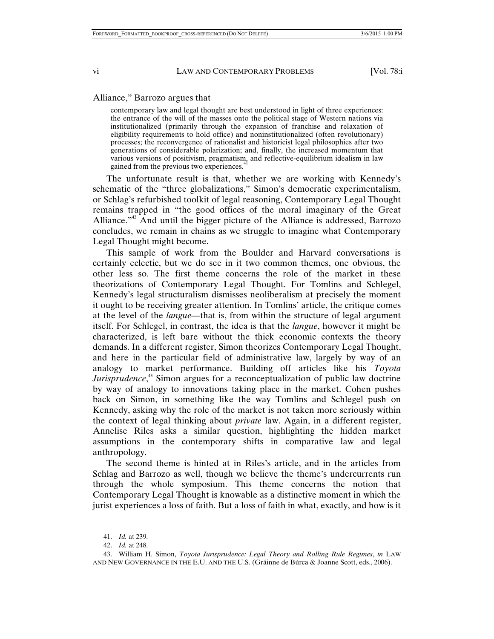### Alliance," Barrozo argues that

contemporary law and legal thought are best understood in light of three experiences: the entrance of the will of the masses onto the political stage of Western nations via institutionalized (primarily through the expansion of franchise and relaxation of eligibility requirements to hold office) and noninstitutionalized (often revolutionary) processes; the reconvergence of rationalist and historicist legal philosophies after two generations of considerable polarization; and, finally, the increased momentum that various versions of positivism, pragmatism, and reflective-equilibrium idealism in law gained from the previous two experiences.<sup>4</sup>

The unfortunate result is that, whether we are working with Kennedy's schematic of the "three globalizations," Simon's democratic experimentalism, or Schlag's refurbished toolkit of legal reasoning, Contemporary Legal Thought remains trapped in "the good offices of the moral imaginary of the Great Alliance."<sup>42</sup> And until the bigger picture of the Alliance is addressed, Barrozo concludes, we remain in chains as we struggle to imagine what Contemporary Legal Thought might become.

This sample of work from the Boulder and Harvard conversations is certainly eclectic, but we do see in it two common themes, one obvious, the other less so. The first theme concerns the role of the market in these theorizations of Contemporary Legal Thought. For Tomlins and Schlegel, Kennedy's legal structuralism dismisses neoliberalism at precisely the moment it ought to be receiving greater attention. In Tomlins' article, the critique comes at the level of the *langue*—that is, from within the structure of legal argument itself. For Schlegel, in contrast, the idea is that the *langue*, however it might be characterized, is left bare without the thick economic contexts the theory demands. In a different register, Simon theorizes Contemporary Legal Thought, and here in the particular field of administrative law, largely by way of an analogy to market performance. Building off articles like his *Toyota Jurisprudence*,<sup>43</sup> Simon argues for a reconceptualization of public law doctrine by way of analogy to innovations taking place in the market. Cohen pushes back on Simon, in something like the way Tomlins and Schlegel push on Kennedy, asking why the role of the market is not taken more seriously within the context of legal thinking about *private* law. Again, in a different register, Annelise Riles asks a similar question, highlighting the hidden market assumptions in the contemporary shifts in comparative law and legal anthropology.

The second theme is hinted at in Riles's article, and in the articles from Schlag and Barrozo as well, though we believe the theme's undercurrents run through the whole symposium. This theme concerns the notion that Contemporary Legal Thought is knowable as a distinctive moment in which the jurist experiences a loss of faith. But a loss of faith in what, exactly, and how is it

 <sup>41.</sup> *Id.* at 239.

 <sup>42.</sup> *Id.* at 248.

 <sup>43.</sup> William H. Simon, *Toyota Jurisprudence: Legal Theory and Rolling Rule Regimes*, *in* LAW AND NEW GOVERNANCE IN THE E.U. AND THE U.S. (Gráinne de Búrca & Joanne Scott, eds., 2006).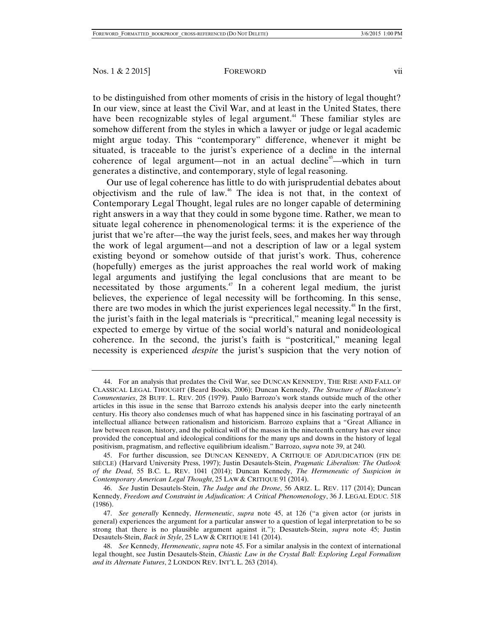to be distinguished from other moments of crisis in the history of legal thought? In our view, since at least the Civil War, and at least in the United States, there have been recognizable styles of legal argument.<sup>44</sup> These familiar styles are somehow different from the styles in which a lawyer or judge or legal academic might argue today. This "contemporary" difference, whenever it might be situated, is traceable to the jurist's experience of a decline in the internal coherence of legal argument—not in an actual decline<sup>45</sup>—which in turn generates a distinctive, and contemporary, style of legal reasoning.

Our use of legal coherence has little to do with jurisprudential debates about objectivism and the rule of law.46 The idea is not that, in the context of Contemporary Legal Thought, legal rules are no longer capable of determining right answers in a way that they could in some bygone time. Rather, we mean to situate legal coherence in phenomenological terms: it is the experience of the jurist that we're after—the way the jurist feels, sees, and makes her way through the work of legal argument—and not a description of law or a legal system existing beyond or somehow outside of that jurist's work. Thus, coherence (hopefully) emerges as the jurist approaches the real world work of making legal arguments and justifying the legal conclusions that are meant to be necessitated by those arguments.<sup> $47$ </sup> In a coherent legal medium, the jurist believes, the experience of legal necessity will be forthcoming. In this sense, there are two modes in which the jurist experiences legal necessity.<sup>48</sup> In the first, the jurist's faith in the legal materials is "precritical," meaning legal necessity is expected to emerge by virtue of the social world's natural and nonideological coherence. In the second, the jurist's faith is "postcritical," meaning legal necessity is experienced *despite* the jurist's suspicion that the very notion of

 <sup>44.</sup> For an analysis that predates the Civil War, see DUNCAN KENNEDY, THE RISE AND FALL OF CLASSICAL LEGAL THOUGHT (Beard Books, 2006); Duncan Kennedy, *The Structure of Blackstone's Commentaries*, 28 BUFF. L. REV. 205 (1979). Paulo Barrozo's work stands outside much of the other articles in this issue in the sense that Barrozo extends his analysis deeper into the early nineteenth century. His theory also condenses much of what has happened since in his fascinating portrayal of an intellectual alliance between rationalism and historicism. Barrozo explains that a "Great Alliance in law between reason, history, and the political will of the masses in the nineteenth century has ever since provided the conceptual and ideological conditions for the many ups and downs in the history of legal positivism, pragmatism, and reflective equilibrium idealism." Barrozo, *supra* note 39, at 240.

 <sup>45.</sup> For further discussion, see DUNCAN KENNEDY, A CRITIQUE OF ADJUDICATION (FIN DE SIÈCLE) (Harvard University Press, 1997); Justin Desautels-Stein, *Pragmatic Liberalism: The Outlook of the Dead*, 55 B.C. L. REV. 1041 (2014); Duncan Kennedy, *The Hermeneutic of Suspicion in Contemporary American Legal Thought*, 25 LAW & CRITIQUE 91 (2014).

 <sup>46.</sup> *See* Justin Desautels-Stein, *The Judge and the Drone*, 56 ARIZ. L. REV. 117 (2014); Duncan Kennedy, *Freedom and Constraint in Adjudication: A Critical Phenomenology*, 36 J. LEGAL EDUC. 518 (1986).

 <sup>47.</sup> *See generally* Kennedy, *Hermeneutic*, *supra* note 45, at 126 ("a given actor (or jurists in general) experiences the argument for a particular answer to a question of legal interpretation to be so strong that there is no plausible argument against it."); Desautels-Stein, *supra* note 45; Justin Desautels-Stein, *Back in Style*, 25 LAW & CRITIQUE 141 (2014).

 <sup>48.</sup> *See* Kennedy, *Hermeneutic*, *supra* note 45. For a similar analysis in the context of international legal thought, see Justin Desautels-Stein, *Chiastic Law in the Crystal Ball: Exploring Legal Formalism and its Alternate Futures*, 2 LONDON REV. INT'L L. 263 (2014).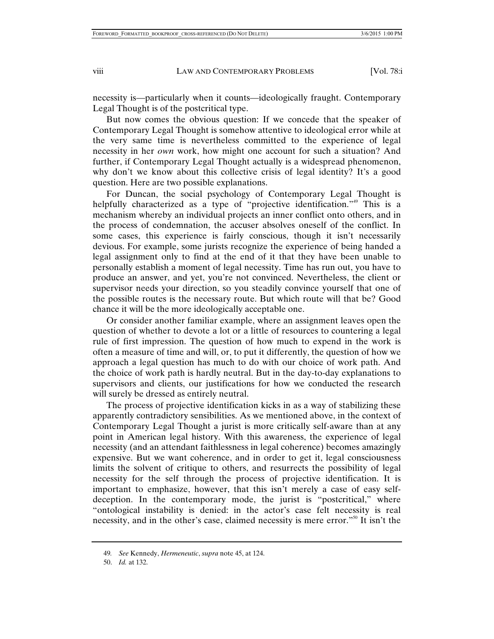necessity is—particularly when it counts—ideologically fraught. Contemporary Legal Thought is of the postcritical type.

But now comes the obvious question: If we concede that the speaker of Contemporary Legal Thought is somehow attentive to ideological error while at the very same time is nevertheless committed to the experience of legal necessity in her *own* work, how might one account for such a situation? And further, if Contemporary Legal Thought actually is a widespread phenomenon, why don't we know about this collective crisis of legal identity? It's a good question. Here are two possible explanations.

For Duncan, the social psychology of Contemporary Legal Thought is helpfully characterized as a type of "projective identification."<sup>49</sup> This is a mechanism whereby an individual projects an inner conflict onto others, and in the process of condemnation, the accuser absolves oneself of the conflict. In some cases, this experience is fairly conscious, though it isn't necessarily devious. For example, some jurists recognize the experience of being handed a legal assignment only to find at the end of it that they have been unable to personally establish a moment of legal necessity. Time has run out, you have to produce an answer, and yet, you're not convinced. Nevertheless, the client or supervisor needs your direction, so you steadily convince yourself that one of the possible routes is the necessary route. But which route will that be? Good chance it will be the more ideologically acceptable one.

Or consider another familiar example, where an assignment leaves open the question of whether to devote a lot or a little of resources to countering a legal rule of first impression. The question of how much to expend in the work is often a measure of time and will, or, to put it differently, the question of how we approach a legal question has much to do with our choice of work path. And the choice of work path is hardly neutral. But in the day-to-day explanations to supervisors and clients, our justifications for how we conducted the research will surely be dressed as entirely neutral.

The process of projective identification kicks in as a way of stabilizing these apparently contradictory sensibilities. As we mentioned above, in the context of Contemporary Legal Thought a jurist is more critically self-aware than at any point in American legal history. With this awareness, the experience of legal necessity (and an attendant faithlessness in legal coherence) becomes amazingly expensive. But we want coherence, and in order to get it, legal consciousness limits the solvent of critique to others, and resurrects the possibility of legal necessity for the self through the process of projective identification. It is important to emphasize, however, that this isn't merely a case of easy selfdeception. In the contemporary mode, the jurist is "postcritical," where "ontological instability is denied: in the actor's case felt necessity is real necessity, and in the other's case, claimed necessity is mere error."50 It isn't the

<sup>49</sup>*. See* Kennedy, *Hermeneutic*, *supra* note 45, at 124.

 <sup>50.</sup> *Id.* at 132.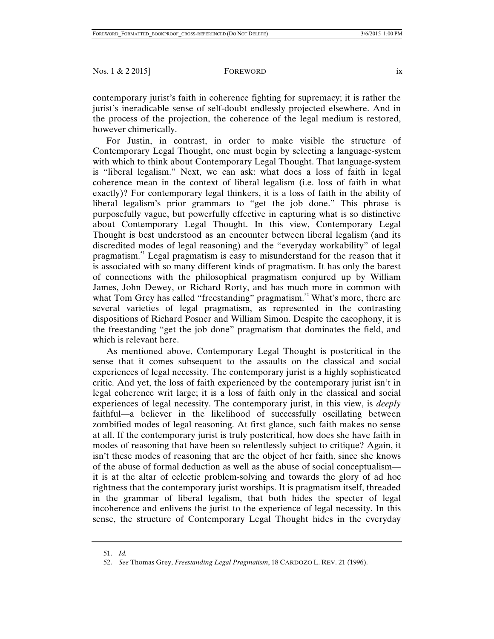contemporary jurist's faith in coherence fighting for supremacy; it is rather the jurist's ineradicable sense of self-doubt endlessly projected elsewhere. And in the process of the projection, the coherence of the legal medium is restored, however chimerically.

For Justin, in contrast, in order to make visible the structure of Contemporary Legal Thought, one must begin by selecting a language-system with which to think about Contemporary Legal Thought. That language-system is "liberal legalism." Next, we can ask: what does a loss of faith in legal coherence mean in the context of liberal legalism (i.e. loss of faith in what exactly)? For contemporary legal thinkers, it is a loss of faith in the ability of liberal legalism's prior grammars to "get the job done." This phrase is purposefully vague, but powerfully effective in capturing what is so distinctive about Contemporary Legal Thought. In this view, Contemporary Legal Thought is best understood as an encounter between liberal legalism (and its discredited modes of legal reasoning) and the "everyday workability" of legal pragmatism.<sup>51</sup> Legal pragmatism is easy to misunderstand for the reason that it is associated with so many different kinds of pragmatism. It has only the barest of connections with the philosophical pragmatism conjured up by William James, John Dewey, or Richard Rorty, and has much more in common with what Tom Grey has called "freestanding" pragmatism.<sup>52</sup> What's more, there are several varieties of legal pragmatism, as represented in the contrasting dispositions of Richard Posner and William Simon. Despite the cacophony, it is the freestanding "get the job done" pragmatism that dominates the field, and which is relevant here.

As mentioned above, Contemporary Legal Thought is postcritical in the sense that it comes subsequent to the assaults on the classical and social experiences of legal necessity. The contemporary jurist is a highly sophisticated critic. And yet, the loss of faith experienced by the contemporary jurist isn't in legal coherence writ large; it is a loss of faith only in the classical and social experiences of legal necessity. The contemporary jurist, in this view, is *deeply* faithful—a believer in the likelihood of successfully oscillating between zombified modes of legal reasoning. At first glance, such faith makes no sense at all. If the contemporary jurist is truly postcritical, how does she have faith in modes of reasoning that have been so relentlessly subject to critique? Again, it isn't these modes of reasoning that are the object of her faith, since she knows of the abuse of formal deduction as well as the abuse of social conceptualism it is at the altar of eclectic problem-solving and towards the glory of ad hoc rightness that the contemporary jurist worships. It is pragmatism itself, threaded in the grammar of liberal legalism, that both hides the specter of legal incoherence and enlivens the jurist to the experience of legal necessity. In this sense, the structure of Contemporary Legal Thought hides in the everyday

 <sup>51.</sup> *Id.*

 <sup>52.</sup> *See* Thomas Grey, *Freestanding Legal Pragmatism*, 18 CARDOZO L. REV. 21 (1996).